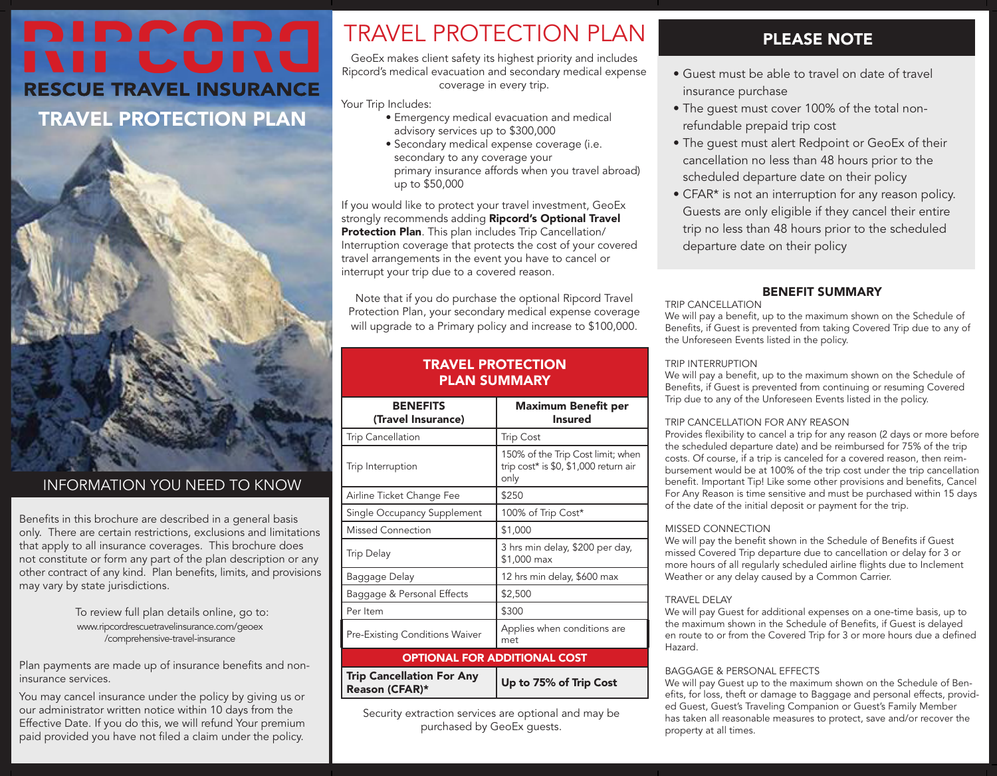# DIDCADA **RESCUE TRAVEL INSURANCE**

TRAVEL PROTECTION PLAN



## INFORMATION YOU NEED TO KNOW

Benefits in this brochure are described in a general basis only. There are certain restrictions, exclusions and limitations that apply to all insurance coverages. This brochure does not constitute or form any part of the plan description or any other contract of any kind. Plan benefits, limits, and provisions may vary by state jurisdictions.

> To review full plan details online, go to: [www.ripcordrescuetravelinsurance.com/geoex](https://www.ripcordrescuetravelinsurance.com/geoex/comprehensive-travel-insurance/) /comprehensive-travel-insurance

Plan payments are made up of insurance benefits and noninsurance services.

You may cancel insurance under the policy by giving us or our administrator written notice within 10 days from the Effective Date. If you do this, we will refund Your premium paid provided you have not filed a claim under the policy.

# TRAVEL PROTECTION PLAN

GeoEx makes client safety its highest priority and includes Ripcord's medical evacuation and secondary medical expense coverage in every trip.

Your Trip Includes:

- Emergency medical evacuation and medical advisory services up to \$300,000
- Secondary medical expense coverage (i.e. secondary to any coverage your primary insurance affords when you travel abroad) up to \$50,000

If you would like to protect your travel investment, GeoEx strongly recommends adding Ripcord's Optional Travel Protection Plan. This plan includes Trip Cancellation/ Interruption coverage that protects the cost of your covered travel arrangements in the event you have to cancel or interrupt your trip due to a covered reason.

Note that if you do purchase the optional Ripcord Travel Protection Plan, your secondary medical expense coverage will upgrade to a Primary policy and increase to \$100,000.

## TRAVEL PROTECTION PLAN SUMMARY

| <b>BENEFITS</b><br>(Travel Insurance)              | Maximum Benefit per<br><b>Insured</b>                                              |
|----------------------------------------------------|------------------------------------------------------------------------------------|
| <b>Trip Cancellation</b>                           | <b>Trip Cost</b>                                                                   |
| Trip Interruption                                  | 150% of the Trip Cost limit; when<br>trip cost* is \$0, \$1,000 return air<br>only |
| Airline Ticket Change Fee                          | \$250                                                                              |
| Single Occupancy Supplement                        | 100% of Trip Cost*                                                                 |
| <b>Missed Connection</b>                           | \$1,000                                                                            |
| <b>Trip Delay</b>                                  | 3 hrs min delay, \$200 per day,<br>\$1,000 max                                     |
| Baggage Delay                                      | 12 hrs min delay, \$600 max                                                        |
| Baggage & Personal Effects                         | \$2,500                                                                            |
| Per Item                                           | \$300                                                                              |
| <b>Pre-Existing Conditions Waiver</b>              | Applies when conditions are<br>met                                                 |
| <b>OPTIONAL FOR ADDITIONAL COST</b>                |                                                                                    |
| <b>Trip Cancellation For Any</b><br>Reason (CFAR)* | Up to 75% of Trip Cost                                                             |

Security extraction services are optional and may be purchased by GeoEx guests.

# PLEASE NOTE

- Guest must be able to travel on date of travel insurance purchase
- The guest must cover 100% of the total nonrefundable prepaid trip cost
- The guest must alert Redpoint or GeoEx of their cancellation no less than 48 hours prior to the scheduled departure date on their policy
- CFAR\* is not an interruption for any reason policy. Guests are only eligible if they cancel their entire trip no less than 48 hours prior to the scheduled departure date on their policy

### BENEFIT SUMMARY

TRIP CANCELLATION We will pay a benefit, up to the maximum shown on the Schedule of Benefits, if Guest is prevented from taking Covered Trip due to any of the Unforeseen Events listed in the policy.

#### TRIP INTERRUPTION

We will pay a benefit, up to the maximum shown on the Schedule of Benefits, if Guest is prevented from continuing or resuming Covered Trip due to any of the Unforeseen Events listed in the policy.

#### TRIP CANCELLATION FOR ANY REASON

Provides flexibility to cancel a trip for any reason (2 days or more before the scheduled departure date) and be reimbursed for 75% of the trip costs. Of course, if a trip is canceled for a covered reason, then reimbursement would be at 100% of the trip cost under the trip cancellation benefit. Important Tip! Like some other provisions and benefits, Cancel For Any Reason is time sensitive and must be purchased within 15 days of the date of the initial deposit or payment for the trip.

#### MISSED CONNECTION

We will pay the benefit shown in the Schedule of Benefits if Guest missed Covered Trip departure due to cancellation or delay for 3 or more hours of all regularly scheduled airline flights due to Inclement Weather or any delay caused by a Common Carrier.

#### TRAVEL DELAY

We will pay Guest for additional expenses on a one-time basis, up to the maximum shown in the Schedule of Benefits, if Guest is delayed en route to or from the Covered Trip for 3 or more hours due a defined Hazard.

#### BAGGAGE & PERSONAL EFFECTS

We will pay Guest up to the maximum shown on the Schedule of Benefits, for loss, theft or damage to Baggage and personal effects, provided Guest, Guest's Traveling Companion or Guest's Family Member has taken all reasonable measures to protect, save and/or recover the property at all times.